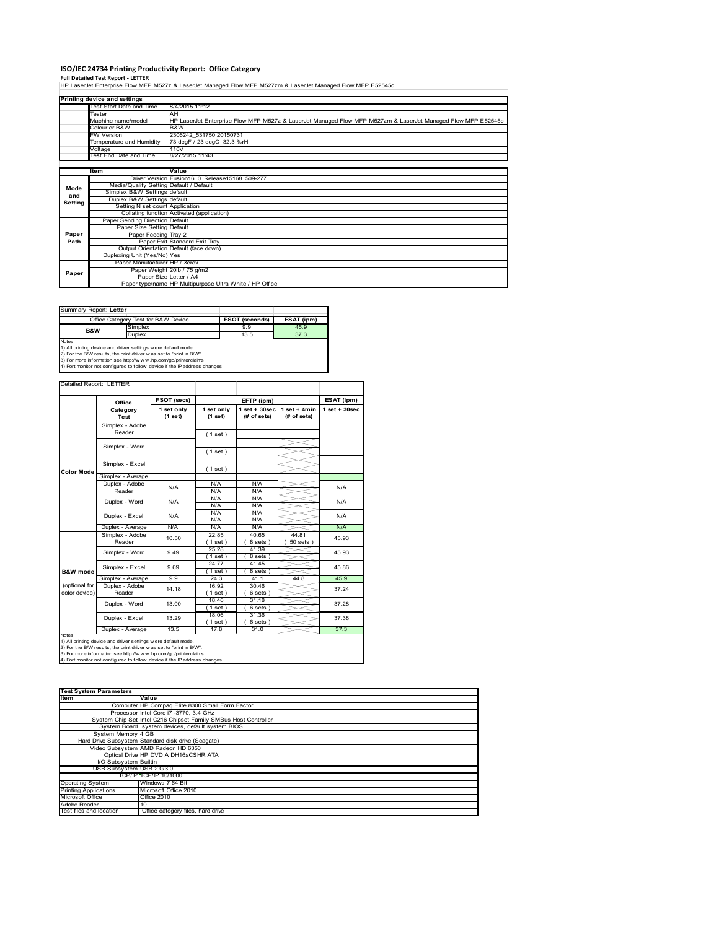## **ISO/IEC 24734 Printing Productivity Report: Office Category**

**Full Detailed Test Report ‐ LETTER** HP LaserJet Enterprise Flow MFP M527z & LaserJet Managed Flow MFP M527zm & LaserJet Managed Flow MFP E52545c

|                    | Printing device and settings            |                                                                                                              |  |  |  |  |
|--------------------|-----------------------------------------|--------------------------------------------------------------------------------------------------------------|--|--|--|--|
|                    | Test Start Date and Time                | 8/4/2015 11:12                                                                                               |  |  |  |  |
|                    | Tester                                  | AH                                                                                                           |  |  |  |  |
| Machine name/model |                                         | HP LaserJet Enterprise Flow MFP M527z & LaserJet Managed Flow MFP M527zm & LaserJet Managed Flow MFP E52545c |  |  |  |  |
|                    | Colour or B&W                           | B&W                                                                                                          |  |  |  |  |
|                    | <b>FW Version</b>                       | 2306242 531750 20150731                                                                                      |  |  |  |  |
|                    | Temperature and Humidity                | 73 degF / 23 degC 32.3 %rH                                                                                   |  |  |  |  |
|                    | Voltage                                 | 110V                                                                                                         |  |  |  |  |
|                    | Test End Date and Time                  | 8/27/2015 11:43                                                                                              |  |  |  |  |
|                    |                                         |                                                                                                              |  |  |  |  |
|                    | <b>Item</b>                             | Value                                                                                                        |  |  |  |  |
|                    |                                         | Driver Version Fusion16 0 Release15168 509-277                                                               |  |  |  |  |
| Mode               | Media/Quality Setting Default / Default |                                                                                                              |  |  |  |  |
| and                | Simplex B&W Settings default            |                                                                                                              |  |  |  |  |
| Settina            | Duplex B&W Settings default             |                                                                                                              |  |  |  |  |
|                    | Setting N set count Application         |                                                                                                              |  |  |  |  |
|                    |                                         | Collating function Activated (application)                                                                   |  |  |  |  |
|                    | Paper Sending Direction Default         |                                                                                                              |  |  |  |  |
|                    | Paper Size Setting Default              |                                                                                                              |  |  |  |  |
| Paper              | Paper Feeding Tray 2                    |                                                                                                              |  |  |  |  |
| Path               |                                         | Paper Exit Standard Exit Tray                                                                                |  |  |  |  |
|                    |                                         | Output Orientation Default (face down)                                                                       |  |  |  |  |
|                    | Duplexing Unit (Yes/No) Yes             |                                                                                                              |  |  |  |  |
|                    | Paper Manufacturer HP / Xerox           |                                                                                                              |  |  |  |  |
| Paper              |                                         | Paper Weight 20lb / 75 g/m2                                                                                  |  |  |  |  |
|                    | Paper Size Letter / A4                  |                                                                                                              |  |  |  |  |
|                    |                                         | Paper type/name HP Multipurpose Ultra White / HP Office                                                      |  |  |  |  |

Summary Report: **Letter**

|                                                              | Office Category Test for B&W Device | <b>FSOT (seconds)</b> | ESAT (ipm) |  |  |
|--------------------------------------------------------------|-------------------------------------|-----------------------|------------|--|--|
| <b>B&amp;W</b>                                               | Simplex                             | 9.9                   | 45.9       |  |  |
|                                                              | Duplex                              | 13.5                  | 37.3       |  |  |
| Notes                                                        |                                     |                       |            |  |  |
| 1) All printing device and driver cettings were default mode |                                     |                       |            |  |  |

1) All printing device and driver settings were default mode.<br>2) For the B/W results, the print driver was set to "print in B/W".<br>3) For more information see http://www.hp.com/go/printerclaims.<br>4) Port monitor not configur

| Detailed Report: LETTER        |                           |                       |                       |                                   |                               |                    |
|--------------------------------|---------------------------|-----------------------|-----------------------|-----------------------------------|-------------------------------|--------------------|
|                                | Office                    | FSOT (secs)           |                       | EFTP (ipm)                        |                               | ESAT (ipm)         |
|                                | Category<br>Test          | 1 set only<br>(1 set) | 1 set only<br>(1 set) | $1$ set + $30$ sec<br>(# of sets) | $1$ set + 4min<br>(# of sets) | $1$ set + $30$ sec |
|                                | Simplex - Adobe<br>Reader |                       | (1 set)               |                                   |                               |                    |
|                                | Simplex - Word            |                       | (1 set)               |                                   |                               |                    |
| Color Mode                     | Simplex - Excel           |                       | (1 set)               |                                   |                               |                    |
|                                | Simplex - Average         |                       |                       |                                   |                               |                    |
|                                | Duplex - Adobe<br>Reader  | N/A                   | N/A<br>N/A            | N/A<br>N/A                        |                               | N/A                |
|                                | Duplex - Word             | N/A                   | N/A<br>N/A            | N/A<br>N/A                        |                               | N/A                |
|                                | Duplex - Excel            | N/A                   | N/A<br>N/A            | N/A<br>N/A                        |                               | N/A                |
|                                | Duplex - Average          | N/A                   | N/A                   | N/A                               |                               | N/A                |
|                                | Simplex - Adobe<br>Reader | 10.50                 | 22.85<br>(1 set )     | 40.65<br>8 sets)                  | 44.81<br>$50$ sets $)$        | 45.93              |
|                                | Simplex - Word            | 9.49                  | 25.28<br>$1$ set)     | 41.39<br>8 sets)                  |                               | 45.93              |
| <b>B&amp;W</b> mode            | Simplex - Excel           | 9.69                  | 24.77<br>(1 set)      | 41.45<br>8 sets)                  |                               | 45.86              |
|                                | Simplex - Average         | 9.9                   | 24.3                  | 41.1                              | 44.8                          | 45.9               |
| (optional for<br>color device) | Duplex - Adobe<br>Reader  | 14.18                 | 16.92<br>$1$ set $)$  | 30.46<br>$6 sets$ )               |                               | 37.24              |
|                                | Duplex - Word             | 13.00                 | 18.46<br>$1$ set)     | 31.18<br>$6 sets$ )               |                               | 37.28              |
|                                | Duplex - Excel            | 13.29                 | 18.06<br>$1$ set)     | 31.36<br>$6 sets$ )               |                               | 37.38              |
| <b>Notes</b>                   | Duplex - Average          | 13.5                  | 17.8                  | 31.0                              |                               | 37.3               |

Notes<br>1) All printing device and driver settings were default mode.<br>2) For the B/W results, the print driver was set to "print in B/W".<br>3) For more information see http://www.hp.com/go/printerclaims.<br>4) Por more informati

| <b>Test System Parameters</b> |                                                                 |  |  |  |  |
|-------------------------------|-----------------------------------------------------------------|--|--|--|--|
| <b>Item</b>                   | Value                                                           |  |  |  |  |
|                               | Computer HP Compag Elite 8300 Small Form Factor                 |  |  |  |  |
|                               | Processor Intel Core i7 -3770, 3.4 GHz                          |  |  |  |  |
|                               | System Chip Set Intel C216 Chipset Family SMBus Host Controller |  |  |  |  |
|                               | System Board system devices, default system BIOS                |  |  |  |  |
| System Memory 4 GB            |                                                                 |  |  |  |  |
|                               | Hard Drive Subsystem Standard disk drive (Seagate)              |  |  |  |  |
|                               | Video Subsystem AMD Radeon HD 6350                              |  |  |  |  |
|                               | Optical Drive HP DVD A DH16aCSHR ATA                            |  |  |  |  |
| I/O Subsystem Builtin         |                                                                 |  |  |  |  |
| USB Subsystem USB 2.0/3.0     |                                                                 |  |  |  |  |
|                               | TCP/IP TCP/IP 10/1000                                           |  |  |  |  |
| <b>Operating System</b>       | Windows 7 64 Bit                                                |  |  |  |  |
| <b>Printing Applications</b>  | Microsoft Office 2010                                           |  |  |  |  |
| Microsoft Office              | <b>Office 2010</b>                                              |  |  |  |  |
| Adobe Reader                  | 10                                                              |  |  |  |  |
| Test files and location       | Office category files, hard drive                               |  |  |  |  |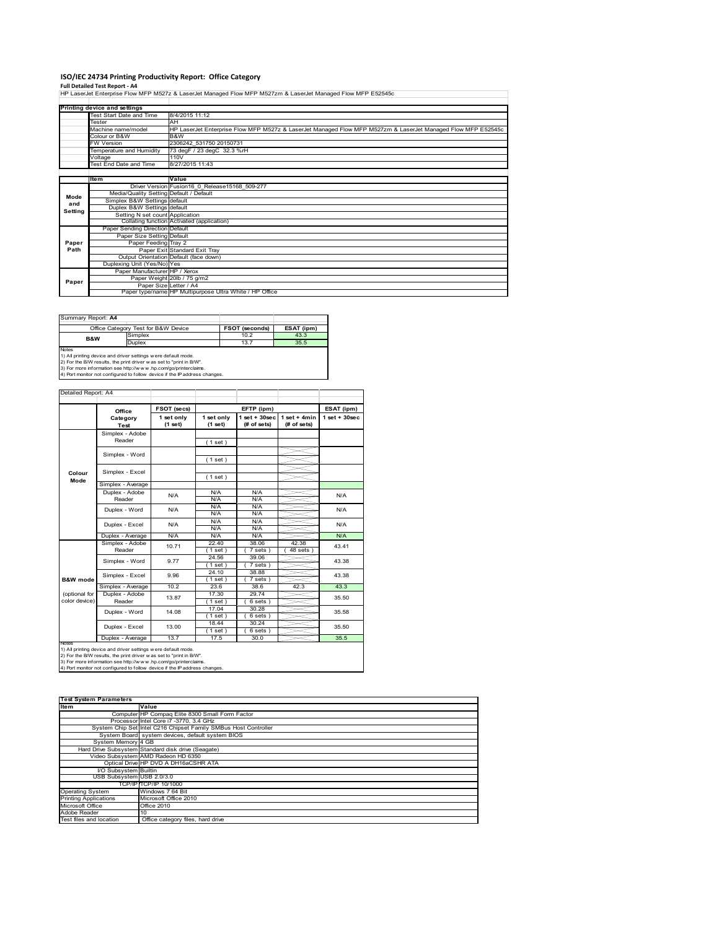## **ISO/IEC 24734 Printing Productivity Report: Office Category**

**Full Detailed Test Report ‐ A4** HP LaserJet Enterprise Flow MFP M527z & LaserJet Managed Flow MFP M527zm & LaserJet Managed Flow MFP E52545c

|         | Printing device and settings            |                                                                                                              |  |  |  |  |
|---------|-----------------------------------------|--------------------------------------------------------------------------------------------------------------|--|--|--|--|
|         | Test Start Date and Time                | 8/4/2015 11:12                                                                                               |  |  |  |  |
|         | Tester                                  | AH                                                                                                           |  |  |  |  |
|         | Machine name/model                      | HP LaserJet Enterprise Flow MFP M527z & LaserJet Managed Flow MFP M527zm & LaserJet Managed Flow MFP E52545c |  |  |  |  |
|         | Colour or B&W                           | B&W                                                                                                          |  |  |  |  |
|         | <b>FW Version</b>                       | 2306242 531750 20150731                                                                                      |  |  |  |  |
|         | Temperature and Humidity                | 73 degF / 23 degC 32.3 %rH                                                                                   |  |  |  |  |
|         | Voltage                                 | 110V                                                                                                         |  |  |  |  |
|         | <b>Test End Date and Time</b>           | 8/27/2015 11:43                                                                                              |  |  |  |  |
|         |                                         |                                                                                                              |  |  |  |  |
|         | <b>Item</b>                             | Value                                                                                                        |  |  |  |  |
|         |                                         | Driver Version Fusion16 0 Release15168 509-277                                                               |  |  |  |  |
| Mode    | Media/Quality Setting Default / Default |                                                                                                              |  |  |  |  |
| and     | Simplex B&W Settings default            |                                                                                                              |  |  |  |  |
| Setting | Duplex B&W Settings default             |                                                                                                              |  |  |  |  |
|         | Setting N set count Application         |                                                                                                              |  |  |  |  |
|         |                                         | Collating function Activated (application)                                                                   |  |  |  |  |
|         | Paper Sending Direction Default         |                                                                                                              |  |  |  |  |
|         | Paper Size Setting Default              |                                                                                                              |  |  |  |  |
| Paper   | Paper Feeding Tray 2                    |                                                                                                              |  |  |  |  |
| Path    |                                         | Paper Exit Standard Exit Tray                                                                                |  |  |  |  |
|         |                                         | Output Orientation Default (face down)                                                                       |  |  |  |  |
|         | Duplexing Unit (Yes/No) Yes             |                                                                                                              |  |  |  |  |
|         | Paper Manufacturer HP / Xerox           |                                                                                                              |  |  |  |  |
| Paper   |                                         | Paper Weight 20lb / 75 g/m2                                                                                  |  |  |  |  |
|         |                                         | Paper Size Letter / A4                                                                                       |  |  |  |  |
|         |                                         | Paper type/name HP Multipurpose Ultra White / HP Office                                                      |  |  |  |  |

| Summary Report: A4                  |                                                              |            |
|-------------------------------------|--------------------------------------------------------------|------------|
| Office Category Test for B&W Device | <b>FSOT (seconds)</b>                                        | ESAT (ipm) |
| Simplex                             | 10.2                                                         | 43.3       |
| <b>Duplex</b>                       | 13.7                                                         | 35.5       |
|                                     |                                                              |            |
|                                     | 1) All printing device and driver settings were default mode |            |

1) All printing device and driver settings were default mode.<br>2) For the B/W results, the print driver was set to "print in B/W".<br>3) For more information see http://www.hp.com/go/printerclaims.<br>4) Port monitor not configur

| Detailed Report: A4            |                           |                       |                       |                                |                               |                    |
|--------------------------------|---------------------------|-----------------------|-----------------------|--------------------------------|-------------------------------|--------------------|
|                                | Office                    | FSOT (secs)           |                       | EFTP (ipm)                     |                               | ESAT (ipm)         |
|                                | Category<br><b>Test</b>   | 1 set only<br>(1 set) | 1 set only<br>(1 set) | $1$ set + 30sec<br>(# of sets) | $1$ set + 4min<br>(# of sets) | $1$ set + $30$ sec |
|                                | Simplex - Adobe<br>Reader |                       | (1 set)               |                                |                               |                    |
|                                | Simplex - Word            |                       | (1 set)               |                                |                               |                    |
| Colour<br>Mode                 | Simplex - Excel           |                       | (1 set)               |                                |                               |                    |
|                                | Simplex - Average         |                       |                       |                                |                               |                    |
|                                | Duplex - Adobe<br>Reader  | N/A                   | N/A<br>N/A            | N/A<br>N/A                     |                               | N/A                |
|                                | Duplex - Word             | N/A                   | N/A<br>N/A            | N/A<br>N/A                     |                               | N/A                |
|                                | Duplex - Excel            | N/A                   | N/A<br>N/A            | N/A<br>N/A                     |                               | N/A                |
|                                | Duplex - Average          | N/A                   | N/A                   | N/A                            |                               | N/A                |
|                                | Simplex - Adobe<br>Reader | 10.71                 | 22.40<br>$1$ set)     | 38.06<br>7 sets)               | 42.38<br>$48$ sets $)$        | 43.41              |
|                                | Simplex - Word            | 9.77                  | 24.56<br>$1$ set)     | 39.06<br>7 sets)               |                               | 43.38              |
| <b>B&amp;W</b> mode            | Simplex - Excel           | 9.96                  | 24.10<br>(1 set )     | 38.88<br>7 sets)               |                               | 43.38              |
|                                | Simplex - Average         | 10.2                  | 23.6                  | 38.6                           | 42.3                          | 43.3               |
| (optional for<br>color device) | Duplex - Adobe<br>Reader  | 13.87                 | 17.30<br>(1 set)      | 29.74<br>$6 sets$ )            |                               | 35.50              |
|                                | Duplex - Word             | 14.08                 | 17.04<br>$1$ set)     | 30.28<br>$6 sets$ )            |                               | 35.58              |
|                                | Duplex - Excel            | 13.00                 | 18.44<br>$1$ set)     | 30.24<br>$6 sets$ )            |                               | 35.50              |
|                                | Duplex - Average          | 13.7                  | 17.5                  | 30.0                           |                               | 35.5               |

notrest<br>1) All printing device and driver settings were default mode.<br>2) For the B/W results, the print driver was set to "print in B/W".<br>3) For more information see http://www.hp.com/go/printerclaims.<br>4) Por more informat

| <b>Test System Parameters</b> |                                                                 |  |  |  |  |
|-------------------------------|-----------------------------------------------------------------|--|--|--|--|
| <b>Item</b>                   | Value                                                           |  |  |  |  |
|                               | Computer HP Compaq Elite 8300 Small Form Factor                 |  |  |  |  |
|                               | Processor Intel Core i7 -3770, 3.4 GHz                          |  |  |  |  |
|                               | System Chip Set Intel C216 Chipset Family SMBus Host Controller |  |  |  |  |
|                               | System Board system devices, default system BIOS                |  |  |  |  |
| System Memory 4 GB            |                                                                 |  |  |  |  |
|                               | Hard Drive Subsystem Standard disk drive (Seagate)              |  |  |  |  |
|                               | Video Subsystem AMD Radeon HD 6350                              |  |  |  |  |
|                               | Optical Drive HP DVD A DH16aCSHR ATA                            |  |  |  |  |
| I/O Subsystem Builtin         |                                                                 |  |  |  |  |
| USB Subsystem USB 2.0/3.0     |                                                                 |  |  |  |  |
|                               | TCP/IP TCP/IP 10/1000                                           |  |  |  |  |
| <b>Operating System</b>       | Windows 7 64 Bit                                                |  |  |  |  |
| <b>Printing Applications</b>  | Microsoft Office 2010                                           |  |  |  |  |
| Microsoft Office              | Office 2010                                                     |  |  |  |  |
| Adobe Reader                  | 10                                                              |  |  |  |  |
| Test files and location       | Office category files, hard drive                               |  |  |  |  |
|                               |                                                                 |  |  |  |  |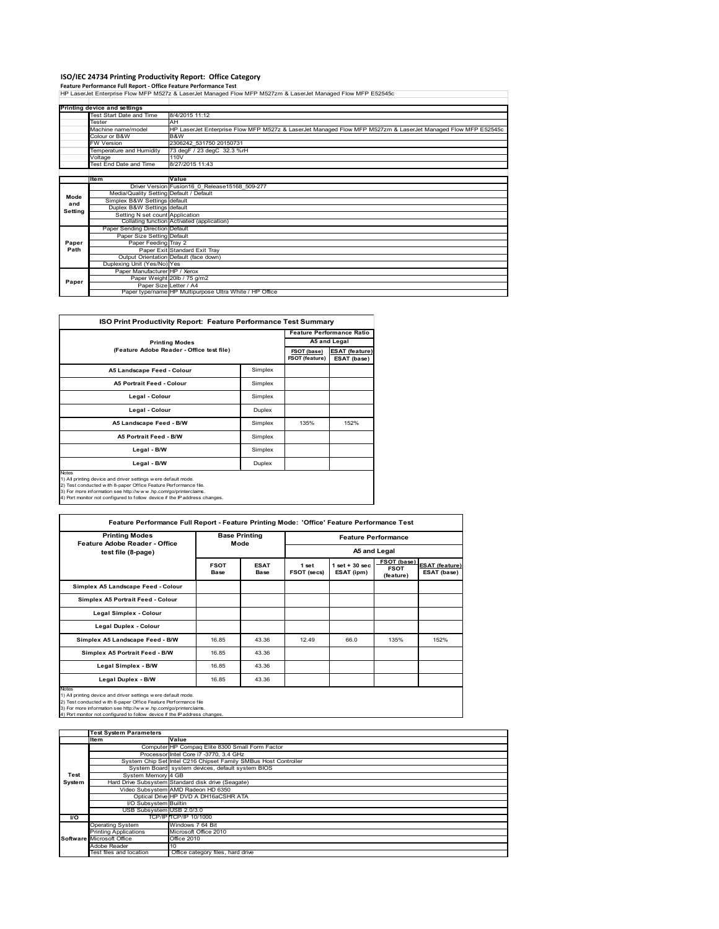## **ISO/IEC 24734 Printing Productivity Report: Office Category**

**Feature Performance Full Report ‐ Office Feature Performance Test** HP LaserJet Enterprise Flow MFP M527z & LaserJet Managed Flow MFP M527zm & LaserJet Managed Flow MFP E52545c

|         | Printing device and settings            |                                                                                                              |  |  |  |
|---------|-----------------------------------------|--------------------------------------------------------------------------------------------------------------|--|--|--|
|         | Test Start Date and Time                | 8/4/2015 11:12                                                                                               |  |  |  |
|         | Tester                                  | <b>AH</b>                                                                                                    |  |  |  |
|         | Machine name/model                      | HP LaserJet Enterprise Flow MFP M527z & LaserJet Managed Flow MFP M527zm & LaserJet Managed Flow MFP E52545c |  |  |  |
|         | Colour or B&W                           | B&W                                                                                                          |  |  |  |
|         | <b>FW Version</b>                       | 2306242 531750 20150731                                                                                      |  |  |  |
|         | Temperature and Humidity                | 73 degF / 23 degC 32.3 %rH                                                                                   |  |  |  |
|         | Voltage                                 | 110V                                                                                                         |  |  |  |
|         | Test End Date and Time                  | 8/27/2015 11:43                                                                                              |  |  |  |
|         |                                         |                                                                                                              |  |  |  |
|         | Item                                    | Value                                                                                                        |  |  |  |
|         |                                         | Driver Version Fusion16 0 Release15168 509-277                                                               |  |  |  |
| Mode    | Media/Quality Setting Default / Default |                                                                                                              |  |  |  |
| and     | Simplex B&W Settings default            |                                                                                                              |  |  |  |
| Setting | Duplex B&W Settings default             |                                                                                                              |  |  |  |
|         | Setting N set count Application         |                                                                                                              |  |  |  |
|         |                                         | Collating function Activated (application)                                                                   |  |  |  |
|         | Paper Sending Direction Default         |                                                                                                              |  |  |  |
|         | Paper Size Setting Default              |                                                                                                              |  |  |  |
| Paper   | Paper Feeding Tray 2                    |                                                                                                              |  |  |  |
| Path    |                                         | Paper Exit Standard Exit Tray                                                                                |  |  |  |
|         |                                         | Output Orientation Default (face down)                                                                       |  |  |  |
|         | Duplexing Unit (Yes/No) Yes             |                                                                                                              |  |  |  |
|         | Paper Manufacturer HP / Xerox           |                                                                                                              |  |  |  |
| Paper   |                                         | Paper Weight 20lb / 75 g/m2                                                                                  |  |  |  |
|         | Paper Size Letter / A4                  |                                                                                                              |  |  |  |
|         |                                         | Paper type/name HP Multipurpose Ultra White / HP Office                                                      |  |  |  |

| <b>ISO Print Productivity Report: Feature Performance Test Summary</b>                                                                                                                                                                                                                            |         |                                      |                                      |  |
|---------------------------------------------------------------------------------------------------------------------------------------------------------------------------------------------------------------------------------------------------------------------------------------------------|---------|--------------------------------------|--------------------------------------|--|
|                                                                                                                                                                                                                                                                                                   |         |                                      | <b>Feature Performance Ratio</b>     |  |
| <b>Printing Modes</b>                                                                                                                                                                                                                                                                             |         | A5 and Legal                         |                                      |  |
| (Feature Adobe Reader - Office test file)                                                                                                                                                                                                                                                         |         | FSOT (base)<br><b>FSOT (feature)</b> | <b>ESAT (feature)</b><br>ESAT (base) |  |
| A5 Landscape Feed - Colour                                                                                                                                                                                                                                                                        | Simplex |                                      |                                      |  |
| <b>A5 Portrait Feed - Colour</b>                                                                                                                                                                                                                                                                  | Simplex |                                      |                                      |  |
| Legal - Colour                                                                                                                                                                                                                                                                                    | Simplex |                                      |                                      |  |
| Legal - Colour                                                                                                                                                                                                                                                                                    | Duplex  |                                      |                                      |  |
| A5 Landscape Feed - B/W                                                                                                                                                                                                                                                                           | Simplex | 135%                                 | 152%                                 |  |
| <b>A5 Portrait Feed - B/W</b>                                                                                                                                                                                                                                                                     | Simplex |                                      |                                      |  |
| Legal - B/W                                                                                                                                                                                                                                                                                       | Simplex |                                      |                                      |  |
| Legal - B/W                                                                                                                                                                                                                                                                                       | Duplex  |                                      |                                      |  |
| <b>Notes</b><br>1) All printing device and driver settings were default mode.<br>2) Test conducted with 8-paper Office Feature Performance file.<br>3) For more information see http://www.hp.com/go/printerclaims.<br>4) Port monitor not configured to follow device if the IP address changes. |         |                                      |                                      |  |

**FSOT Base ESAT Base 1 set FSOT (secs) 1 set + 30 sec ESAT (ipm) FSOT (base) FSOT (feature) ESAT (feature) ESAT (base) Simplex A5 Landscape Feed - Colour Simplex A5 Portrait Feed - Colour Legal Simplex - Colour Legal Duplex - Colour Simplex A5 Landscape Feed - B/W** 16.85 43.36 12.49 66.0 135% 152% **Simplex A5 Portrait Feed - B/W** 16.85 43.36 **Legal Simplex - B/W** 16.85 43.36 **Legal Duplex - B/W** 16.85 43.36 Notes<br>1) All printing device and driver settings were default mode.<br>2) Test conducted with 8-paper Office Feature Performance file<br>3) For more information see http://www.hp.com/go/printerclaims.<br>4) Por more information see **Feature Performance Full Report - Feature Printing Mode: 'Office' Feature Performance Test Feature Performance A5 and Legal Base Printing Mode Printing Modes Feature Adobe Reader - Office test file (8-page)**

|        | <b>Test System Parameters</b> |                                                                 |
|--------|-------------------------------|-----------------------------------------------------------------|
|        | <b>Item</b>                   | Value                                                           |
|        |                               | Computer HP Compaq Elite 8300 Small Form Factor                 |
|        |                               | Processor Intel Core i7 -3770, 3.4 GHz                          |
|        |                               | System Chip Set Intel C216 Chipset Family SMBus Host Controller |
|        |                               | System Board system devices, default system BIOS                |
| Test   | System Memory 4 GB            |                                                                 |
| System |                               | Hard Drive Subsystem Standard disk drive (Seagate)              |
|        |                               | Video Subsystem AMD Radeon HD 6350                              |
|        |                               | Optical Drive HP DVD A DH16aCSHR ATA                            |
|        | I/O Subsystem Builtin         |                                                                 |
|        | USB Subsystem USB 2.0/3.0     |                                                                 |
| 1/O    |                               | TCP/IP TCP/IP 10/1000                                           |
|        | <b>Operating System</b>       | Windows 7 64 Bit                                                |
|        | <b>Printing Applications</b>  | Microsoft Office 2010                                           |
|        | Software Microsoft Office     | <b>Office 2010</b>                                              |
|        | Adobe Reader                  | 10                                                              |
|        | Test files and location       | Office category files, hard drive                               |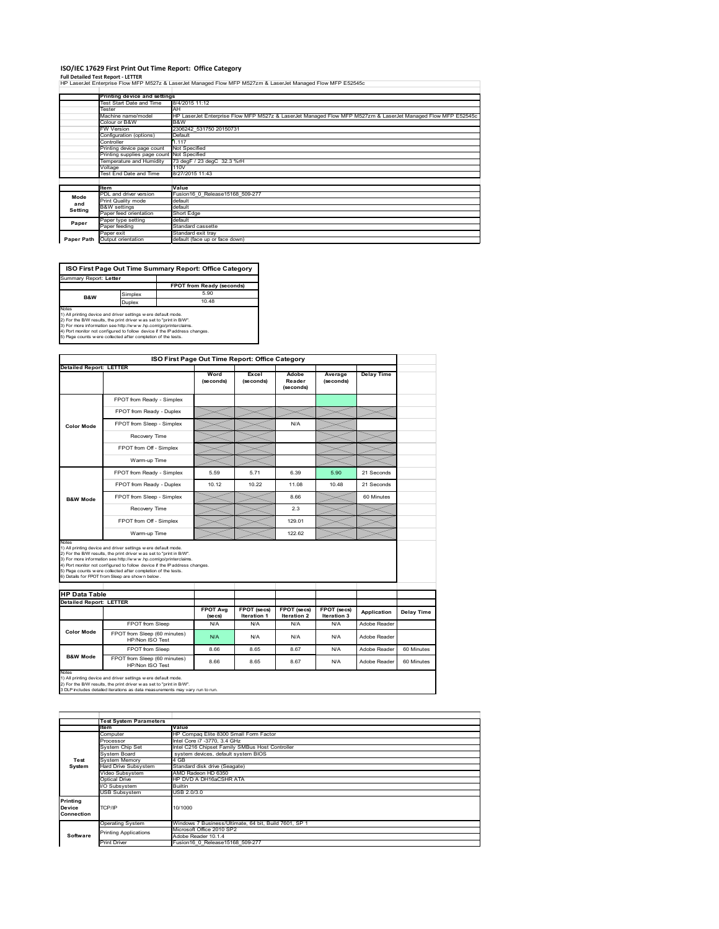#### **ISO/IEC 17629 First Print Out Time Report: Office Category**

**Full Detailed Test Report ‐ LETTER** HP LaserJet Enterprise Flow MFP M527z & LaserJet Managed Flow MFP M527zm & LaserJet Managed Flow MFP E52545c

|            | Printing device and settings               |                                                                                                              |
|------------|--------------------------------------------|--------------------------------------------------------------------------------------------------------------|
|            | Test Start Date and Time                   | 8/4/2015 11:12                                                                                               |
|            | Tester                                     | AH                                                                                                           |
|            | Machine name/model                         | HP LaserJet Enterprise Flow MFP M527z & LaserJet Managed Flow MFP M527zm & LaserJet Managed Flow MFP E52545c |
|            | Colour or B&W                              | B&W                                                                                                          |
|            | <b>FW Version</b>                          | 2306242 531750 20150731                                                                                      |
|            | Configuration (options)                    | Default                                                                                                      |
|            | Controller                                 | 1.117                                                                                                        |
|            | Printing device page count                 | Not Specified                                                                                                |
|            | Printing supplies page count Not Specified |                                                                                                              |
|            | Temperature and Humidity                   | 73 degF / 23 degC 32.3 %rH                                                                                   |
|            | Voltage                                    | 110V                                                                                                         |
|            | Test End Date and Time                     | 8/27/2015 11:43                                                                                              |
|            |                                            |                                                                                                              |
|            | ltem                                       | Value                                                                                                        |
| Mode       | PDL and driver version                     | Fusion16 0 Release15168 509-277                                                                              |
| and        | Print Quality mode                         | default                                                                                                      |
| Setting    | <b>B&amp;W</b> settings                    | default                                                                                                      |
|            | Paper feed orientation                     | Short Edge                                                                                                   |
| Paper      | Paper type setting                         | default                                                                                                      |
|            | Paper feeding                              | Standard cassette                                                                                            |
|            | Paper exit                                 | Standard exit trav                                                                                           |
| Paper Path | Output orientation                         | default (face up or face down)                                                                               |

| ISO First Page Out Time Summary Report: Office Category                                                                                        |         |                                  |  |  |  |
|------------------------------------------------------------------------------------------------------------------------------------------------|---------|----------------------------------|--|--|--|
| Summary Report: Letter                                                                                                                         |         |                                  |  |  |  |
|                                                                                                                                                |         | <b>FPOT from Ready (seconds)</b> |  |  |  |
| <b>B&amp;W</b>                                                                                                                                 | Simplex | 5.90                             |  |  |  |
|                                                                                                                                                | Duplex  | 10.48                            |  |  |  |
| Notes<br>1) All printing device and driver settings w ere default mode.<br>2) For the B/W results, the print driver was set to "print in B/W". |         |                                  |  |  |  |
| 3) For more information see http://www.hp.com/go/printerclaims.                                                                                |         |                                  |  |  |  |

3) For more information see http://w w w .hp.com/go/printerclaims.<br>4) Port monitor not configured to follow device if the IP address changes.<br>5) Page counts w ere collected after completion of the tests.

|                                                        |                                                                                                                                                                                                                                                                                                                                                                                                              | ISO First Page Out Time Report: Office Category |                                   |                                   |                            |                   |            |
|--------------------------------------------------------|--------------------------------------------------------------------------------------------------------------------------------------------------------------------------------------------------------------------------------------------------------------------------------------------------------------------------------------------------------------------------------------------------------------|-------------------------------------------------|-----------------------------------|-----------------------------------|----------------------------|-------------------|------------|
| <b>Detailed Report: LETTER</b>                         |                                                                                                                                                                                                                                                                                                                                                                                                              |                                                 |                                   |                                   |                            |                   |            |
|                                                        |                                                                                                                                                                                                                                                                                                                                                                                                              | Word<br>(seconds)                               | Excel<br>(seconds)                | Adobe<br>Reader<br>(seconds)      | Average<br>(seconds)       | <b>Delay Time</b> |            |
|                                                        | FPOT from Ready - Simplex                                                                                                                                                                                                                                                                                                                                                                                    |                                                 |                                   |                                   |                            |                   |            |
|                                                        | FPOT from Ready - Duplex                                                                                                                                                                                                                                                                                                                                                                                     |                                                 |                                   |                                   |                            |                   |            |
| <b>Color Mode</b>                                      | FPOT from Sleep - Simplex                                                                                                                                                                                                                                                                                                                                                                                    |                                                 |                                   | N/A                               |                            |                   |            |
|                                                        | Recovery Time                                                                                                                                                                                                                                                                                                                                                                                                |                                                 |                                   |                                   |                            |                   |            |
|                                                        | FPOT from Off - Simplex                                                                                                                                                                                                                                                                                                                                                                                      |                                                 |                                   |                                   |                            |                   |            |
|                                                        | Warm-up Time                                                                                                                                                                                                                                                                                                                                                                                                 |                                                 |                                   |                                   |                            |                   |            |
|                                                        | FPOT from Ready - Simplex                                                                                                                                                                                                                                                                                                                                                                                    | 5.59                                            | 5.71                              | 6.39                              | 5.90                       | 21 Seconds        |            |
|                                                        | FPOT from Ready - Duplex                                                                                                                                                                                                                                                                                                                                                                                     | 10.12                                           | 10.22                             | 11.08                             | 10.48                      | 21 Seconds        |            |
| <b>B&amp;W Mode</b>                                    | FPOT from Sleep - Simplex                                                                                                                                                                                                                                                                                                                                                                                    |                                                 |                                   | 8.66                              |                            | 60 Minutes        |            |
|                                                        | Recovery Time                                                                                                                                                                                                                                                                                                                                                                                                |                                                 |                                   | 2.3                               |                            |                   |            |
|                                                        | FPOT from Off - Simplex                                                                                                                                                                                                                                                                                                                                                                                      |                                                 |                                   | 129.01                            |                            |                   |            |
|                                                        | Warm-up Time                                                                                                                                                                                                                                                                                                                                                                                                 |                                                 |                                   | 122.62                            |                            |                   |            |
| Notes                                                  | 1) All printing device and driver settings w ere default mode.<br>2) For the B/W results, the print driver w as set to "print in B/W".<br>3) For more information see http://www.hp.com/go/printerclaims.<br>4) Port monitor not configured to follow device if the IP address changes.<br>5) Page counts w ere collected after completion of the tests.<br>6) Details for FPOT from Sleep are show n below. |                                                 |                                   |                                   |                            |                   |            |
|                                                        |                                                                                                                                                                                                                                                                                                                                                                                                              |                                                 |                                   |                                   |                            |                   |            |
|                                                        |                                                                                                                                                                                                                                                                                                                                                                                                              |                                                 |                                   |                                   |                            |                   |            |
|                                                        |                                                                                                                                                                                                                                                                                                                                                                                                              |                                                 |                                   |                                   |                            |                   |            |
|                                                        |                                                                                                                                                                                                                                                                                                                                                                                                              | <b>FPOT Avg</b><br>(se cs)                      | FPOT (secs)<br><b>Iteration 1</b> | FPOT (secs)<br><b>Iteration 2</b> | FPOT (secs)<br>Iteration 3 | Application       |            |
|                                                        | FPOT from Sleep                                                                                                                                                                                                                                                                                                                                                                                              | N/A                                             | N/A                               | N/A                               | N/A                        | Adobe Reader      |            |
| <b>Color Mode</b>                                      | FPOT from Sleep (60 minutes)<br>HP/Non ISO Test                                                                                                                                                                                                                                                                                                                                                              | N/A                                             | N/A                               | N/A                               | N/A                        | Adobe Reader      | Delay Time |
| <b>HP Data Table</b><br><b>Detailed Report: LETTER</b> | FPOT from Sleep                                                                                                                                                                                                                                                                                                                                                                                              | 8.66                                            | 8.65                              | 8.67                              | N/A                        | Adobe Reader      | 60 Minutes |

1) All printing device and driver settings w ere default mode.<br>2) For the B/W results, the print driver w as set to "print in B/W".<br>3 DLP includes detailed iterations as data measurements may vary run to run.

1tem Value<br>Computer HP Compaq Elite 8300 Small Form Factor<br>Processor Intel Core i7 -3770, 3.4 GHz<br>System Chip Set Intel C2fe Chipset Family SMBus Host Controller<br>System Board system devices, default system BIOS Frocessor<br>System Chip Set<br>System Memory<br>Hard Drive Subsystem<br>Hideo Subsystem Hard Drive Subsystem Standard disk drive (Seagate) Video Subsystem AMD Radeon HD 6350 Optical Drive HP DVD A DH16aCSHR ATA Subsystem Builtin USB Subsystem USB 2.0/3.0 Operating System Windows 7 Business/Ultimate, 64 bit, Build 7601, SP 1 Microsoft Office 2010 SP2 Adobe Reader 10.1.4 Print Driver Fusion16\_0\_Release15168\_509-277 **Test System Software Test System Para Printing Device Connection** TCP/IP 10/1000 inting Applications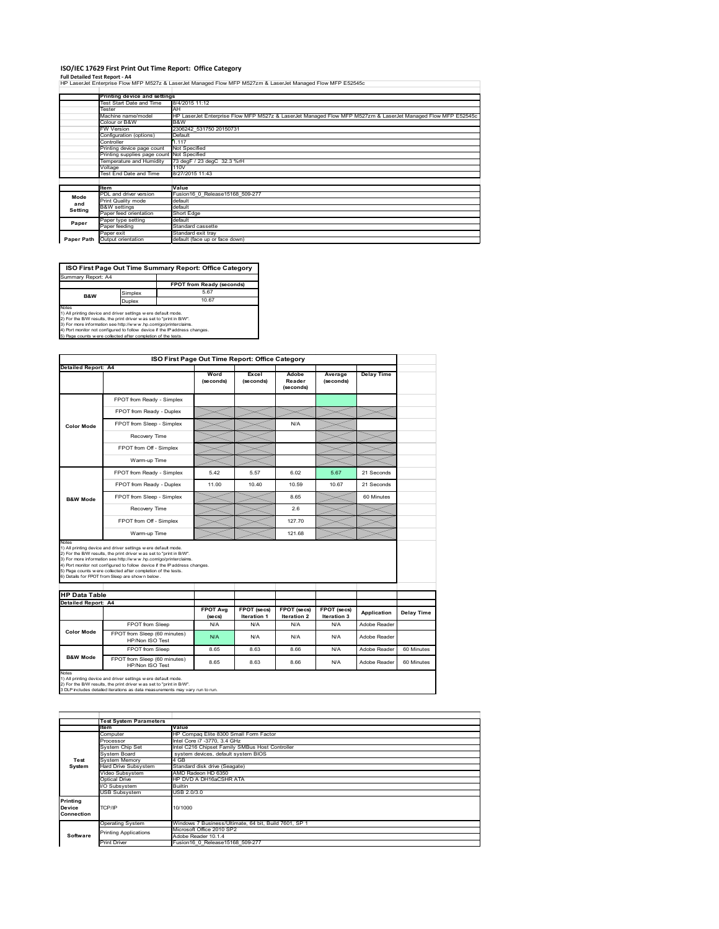#### **ISO/IEC 17629 First Print Out Time Report: Office Category**

**Full Detailed Test Report ‐ A4** HP LaserJet Enterprise Flow MFP M527z & LaserJet Managed Flow MFP M527zm & LaserJet Managed Flow MFP E52545c

|            | Printing device and settings               |                                                                                                              |
|------------|--------------------------------------------|--------------------------------------------------------------------------------------------------------------|
|            | Test Start Date and Time                   | 8/4/2015 11:12                                                                                               |
|            | Tester                                     | AH                                                                                                           |
|            | Machine name/model                         | HP LaserJet Enterprise Flow MFP M527z & LaserJet Managed Flow MFP M527zm & LaserJet Managed Flow MFP E52545c |
|            | Colour or B&W                              | B&W                                                                                                          |
|            | <b>FW Version</b>                          | 2306242 531750 20150731                                                                                      |
|            | Configuration (options)                    | Default                                                                                                      |
|            | Controller                                 | 1.117                                                                                                        |
|            | Printing device page count                 | Not Specified                                                                                                |
|            | Printing supplies page count Not Specified |                                                                                                              |
|            | Temperature and Humidity                   | 73 degF / 23 degC 32.3 %rH                                                                                   |
|            | Voltage                                    | 110V                                                                                                         |
|            | Test End Date and Time                     | 8/27/2015 11:43                                                                                              |
|            |                                            |                                                                                                              |
|            | <b>Item</b>                                | Value                                                                                                        |
| Mode       | PDL and driver version                     | Fusion16 0 Release15168 509-277                                                                              |
| and        | Print Quality mode                         | default                                                                                                      |
| Setting    | <b>B&amp;W</b> settings                    | default                                                                                                      |
|            | Paper feed orientation                     | Short Edge                                                                                                   |
| Paper      | Paper type setting                         | default                                                                                                      |
|            | Paper feeding                              | Standard cassette                                                                                            |
|            | Paper exit                                 | Standard exit tray                                                                                           |
| Paper Path | Output orientation                         | default (face up or face down)                                                                               |

**FPOT from Ready (seconds)** implex 5.67<br>uplex 10.67 Duplex **ISO First Page Out Time Summary Report: Office Category** Summary Report: A4 **B&W**

Notes<br>1) All printing device and driver settings were default mode.<br>2) For the BAV results, the print driver was set to "print in BAV".<br>3) For more information see http://www.hp.com/golprinterclaims.<br>4) Port monitor not co

|                      |                                                                                                                                                                                                                                                                                                                                                                                                             | ISO First Page Out Time Report: Office Category |                                   |                              |                            |                   |
|----------------------|-------------------------------------------------------------------------------------------------------------------------------------------------------------------------------------------------------------------------------------------------------------------------------------------------------------------------------------------------------------------------------------------------------------|-------------------------------------------------|-----------------------------------|------------------------------|----------------------------|-------------------|
| Detailed Report: A4  |                                                                                                                                                                                                                                                                                                                                                                                                             | Word<br>(seconds)                               | Excel<br>(seconds)                | Adobe<br>Reader<br>(seconds) | Average<br>(seconds)       | <b>Delay Time</b> |
|                      | FPOT from Ready - Simplex                                                                                                                                                                                                                                                                                                                                                                                   |                                                 |                                   |                              |                            |                   |
|                      | FPOT from Ready - Duplex                                                                                                                                                                                                                                                                                                                                                                                    |                                                 |                                   |                              |                            |                   |
| <b>Color Mode</b>    | FPOT from Sleep - Simplex                                                                                                                                                                                                                                                                                                                                                                                   |                                                 |                                   | N/A                          |                            |                   |
|                      | Recovery Time                                                                                                                                                                                                                                                                                                                                                                                               |                                                 |                                   |                              |                            |                   |
|                      | FPOT from Off - Simplex                                                                                                                                                                                                                                                                                                                                                                                     |                                                 |                                   |                              |                            |                   |
|                      | Warm-up Time                                                                                                                                                                                                                                                                                                                                                                                                |                                                 |                                   |                              |                            |                   |
|                      | FPOT from Ready - Simplex                                                                                                                                                                                                                                                                                                                                                                                   | 5.42                                            | 5.57                              | 6.02                         | 5.67                       | 21 Seconds        |
|                      | FPOT from Ready - Duplex                                                                                                                                                                                                                                                                                                                                                                                    | 11.00                                           | 10.40                             | 10.59                        | 10.67                      | 21 Seconds        |
| <b>B&amp;W Mode</b>  | FPOT from Sleep - Simplex                                                                                                                                                                                                                                                                                                                                                                                   |                                                 |                                   | 8.65                         |                            | 60 Minutes        |
|                      | Recovery Time                                                                                                                                                                                                                                                                                                                                                                                               |                                                 |                                   | 26                           |                            |                   |
|                      |                                                                                                                                                                                                                                                                                                                                                                                                             |                                                 |                                   |                              |                            |                   |
|                      | FPOT from Off - Simplex                                                                                                                                                                                                                                                                                                                                                                                     |                                                 |                                   | 127.70                       |                            |                   |
| Notes                | Warm-up Time                                                                                                                                                                                                                                                                                                                                                                                                |                                                 |                                   | 121.68                       |                            |                   |
| <b>HP Data Table</b> | 1) All printing device and driver settings w ere default mode.<br>2) For the B/W results, the print driver was set to "print in B/W".<br>3) For more information see http://www.hp.com/go/printerclaims.<br>4) Port monitor not configured to follow device if the IP address changes.<br>5) Page counts w ere collected after completion of the tests.<br>6) Details for FPOT from Sleep are show n below. |                                                 |                                   |                              |                            |                   |
| Detailed Report: A4  |                                                                                                                                                                                                                                                                                                                                                                                                             |                                                 |                                   |                              |                            |                   |
|                      |                                                                                                                                                                                                                                                                                                                                                                                                             | <b>FPOT Ava</b><br>(se cs)                      | FPOT (secs)<br><b>Iteration 1</b> | FPOT (secs)<br>Iteration 2   | FPOT (secs)<br>Iteration 3 | Application       |
|                      | FPOT from Sleep                                                                                                                                                                                                                                                                                                                                                                                             | N/A                                             | N/A                               | N/A                          | N/A                        | Adobe Reader      |
| <b>Color Mode</b>    | FPOT from Sleep (60 minutes)<br>HP/Non ISO Test                                                                                                                                                                                                                                                                                                                                                             | N/A                                             | N/A                               | N/A                          | N/A                        | Adobe Reader      |
|                      | FPOT from Sleep                                                                                                                                                                                                                                                                                                                                                                                             | 8.65                                            | 8.63                              | 8.66                         | N/A                        | Adobe Reader      |

1) All printing device and driver settings w ere default mode.<br>2) For the B/W results, the print driver w as set to "print in B/W".<br>3 DLP includes detailed iterations as data measurements may vary run to run.

|                                  | <b>Test System Parameters</b> |                                                       |  |  |  |
|----------------------------------|-------------------------------|-------------------------------------------------------|--|--|--|
|                                  | ltem                          | Value                                                 |  |  |  |
|                                  | Computer                      | HP Compaq Elite 8300 Small Form Factor                |  |  |  |
|                                  | Processor                     | Intel Core i7 -3770, 3.4 GHz                          |  |  |  |
|                                  | System Chip Set               | Intel C216 Chipset Family SMBus Host Controller       |  |  |  |
|                                  | System Board                  | system devices, default system BIOS                   |  |  |  |
| Test                             | System Memory                 | 4 GB                                                  |  |  |  |
| System                           | Hard Drive Subsystem          | Standard disk drive (Seagate)                         |  |  |  |
|                                  | Video Subsvstem               | AMD Radeon HD 6350                                    |  |  |  |
|                                  | Optical Drive                 | HP DVD A DH16aCSHR ATA                                |  |  |  |
|                                  | I/O Subsystem                 | <b>Builtin</b>                                        |  |  |  |
|                                  | <b>USB Subsystem</b>          | USB 2.0/3.0                                           |  |  |  |
| Printing<br>Device<br>Connection | TCP/IP                        | 10/1000                                               |  |  |  |
|                                  | <b>Operating System</b>       | Windows 7 Business/Ultimate, 64 bit, Build 7601, SP 1 |  |  |  |
|                                  | <b>Printing Applications</b>  | Microsoft Office 2010 SP2                             |  |  |  |
| Software                         |                               | Adobe Reader 10.1.4                                   |  |  |  |
|                                  | <b>Print Driver</b>           | Fusion16 0 Release15168 509-277                       |  |  |  |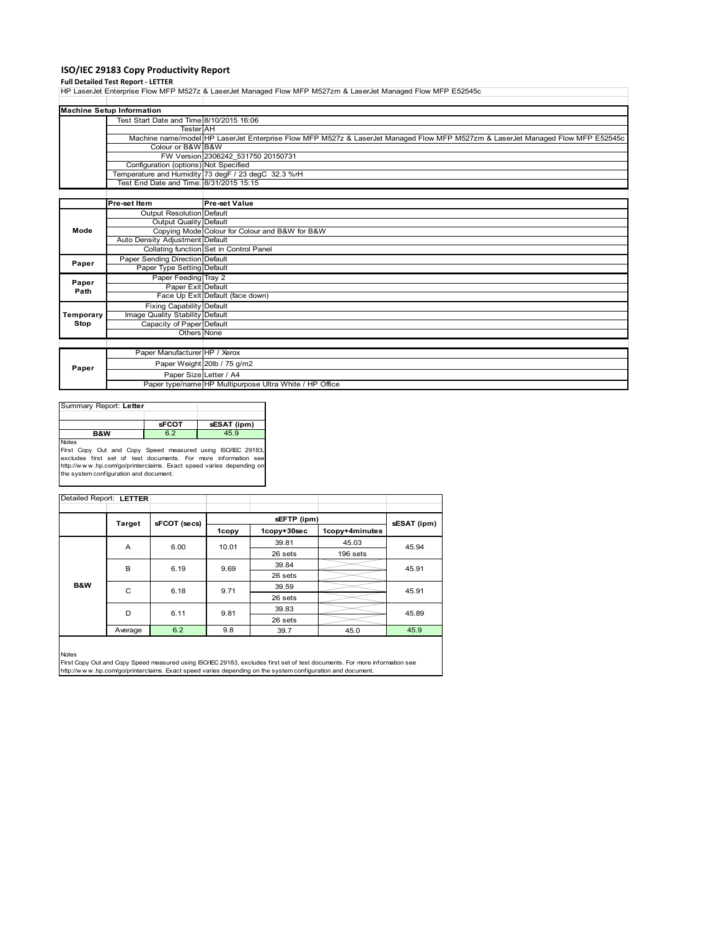## **ISO/IEC 29183 Copy Productivity Report**

## **Full Detailed Test Report ‐ LETTER**

HP LaserJet Enterprise Flow MFP M527z & LaserJet Managed Flow MFP M527zm & LaserJet Managed Flow MFP E52545c

|           | <b>Machine Setup Information</b>                                                                                                |                                                         |  |
|-----------|---------------------------------------------------------------------------------------------------------------------------------|---------------------------------------------------------|--|
|           | Test Start Date and Time 8/10/2015 16:06                                                                                        |                                                         |  |
|           | <b>Tester AH</b>                                                                                                                |                                                         |  |
|           | Machine name/model HP LaserJet Enterprise Flow MFP M527z & LaserJet Managed Flow MFP M527zm & LaserJet Managed Flow MFP E52545c |                                                         |  |
|           | Colour or B&W B&W                                                                                                               |                                                         |  |
|           |                                                                                                                                 | FW Version 2306242 531750 20150731                      |  |
|           | Configuration (options) Not Specified                                                                                           |                                                         |  |
|           |                                                                                                                                 | Temperature and Humidity 73 degF / 23 degC 32.3 %rH     |  |
|           | Test End Date and Time: 8/31/2015 15:15                                                                                         |                                                         |  |
|           |                                                                                                                                 |                                                         |  |
|           | Pre-set Item                                                                                                                    | <b>Pre-set Value</b>                                    |  |
|           | Output Resolution Default                                                                                                       |                                                         |  |
|           | Output Quality Default                                                                                                          |                                                         |  |
| Mode      |                                                                                                                                 | Copying Mode Colour for Colour and B&W for B&W          |  |
|           | Auto Density Adjustment Default                                                                                                 |                                                         |  |
|           |                                                                                                                                 | Collating function Set in Control Panel                 |  |
| Paper     | Paper Sending Direction Default                                                                                                 |                                                         |  |
|           | Paper Type Setting Default                                                                                                      |                                                         |  |
| Paper     | Paper Feeding Tray 2                                                                                                            |                                                         |  |
| Path      | Paper Exit Default                                                                                                              |                                                         |  |
|           |                                                                                                                                 | Face Up Exit Default (face down)                        |  |
|           | <b>Fixing Capability Default</b>                                                                                                |                                                         |  |
| Temporary | Image Quality Stability Default                                                                                                 |                                                         |  |
| Stop      | Capacity of Paper Default                                                                                                       |                                                         |  |
|           | Others None                                                                                                                     |                                                         |  |
|           |                                                                                                                                 |                                                         |  |
|           | Paper Manufacturer HP / Xerox                                                                                                   |                                                         |  |
| Paper     |                                                                                                                                 | Paper Weight 20lb / 75 g/m2                             |  |
|           | Paper Size Letter / A4                                                                                                          |                                                         |  |
|           |                                                                                                                                 | Paper type/name HP Multipurpose Ultra White / HP Office |  |

| Summary Report: Letter                                              |              |             |
|---------------------------------------------------------------------|--------------|-------------|
|                                                                     | <b>sFCOT</b> | sESAT (ipm) |
| B&W                                                                 | 6.2          | 45.9        |
| Notes<br>First Copy Out and Copy Speed measured using ISO/IEC 29183 |              |             |

First Copy Out and Copy Speed measured using ISO/IEC 29183,<br>excludes first set of test documents. For more information see<br>http://www.hp.com/go/printerclaims. Exact speed varies depending on<br>the system.configuration and do

|     |               |              |       | sEFTP (ipm) |                |             |
|-----|---------------|--------------|-------|-------------|----------------|-------------|
|     | <b>Target</b> | sFCOT (secs) | 1copy | 1copy+30sec | 1copy+4minutes | sESAT (ipm) |
|     | A             | 6.00         | 10.01 | 39.81       | 45.03          | 45.94       |
|     |               |              |       | 26 sets     | 196 sets       |             |
|     | B             | 6.19         | 9.69  | 39.84       |                | 45.91       |
|     |               |              |       | 26 sets     |                |             |
| B&W | C             | 6.18         | 9.71  | 39.59       |                | 45.91       |
|     |               |              |       | 26 sets     |                |             |
|     | D             | 6.11         | 9.81  | 39.83       |                | 45.89       |
|     |               |              |       | 26 sets     |                |             |
|     | Average       | 6.2          | 9.8   | 39.7        | 45.0           | 45.9        |

Notes<br>First Copy Out and Copy Speed measured using ISO/IEC 29183, excludes first set of test documents. For more information see<br>http://w w w.hp.com/go/printerclaims. Exact speed varies depending on the system configuratio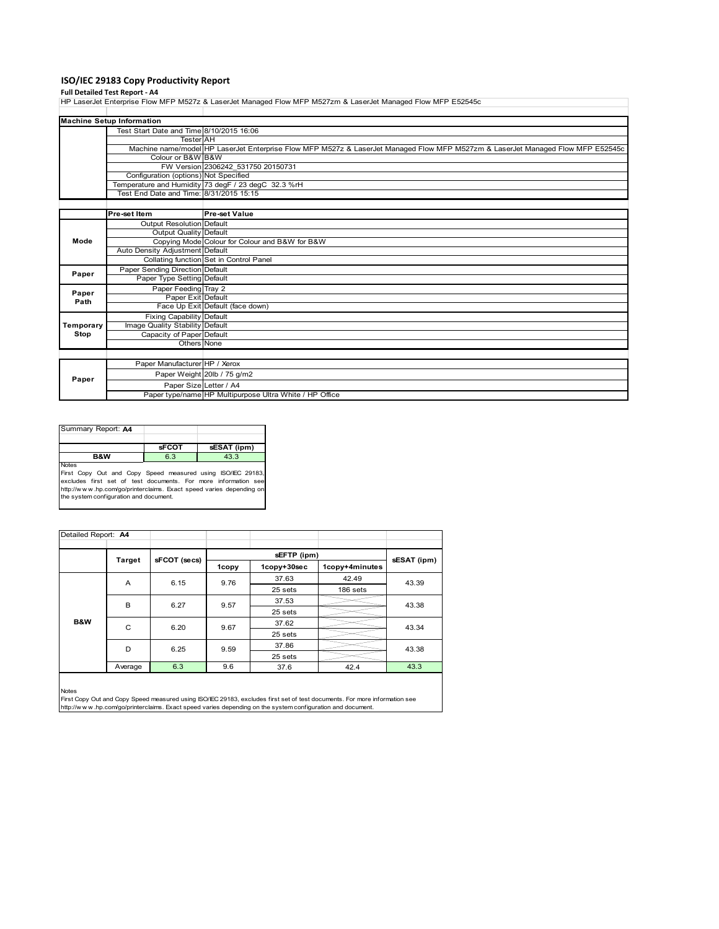# **ISO/IEC 29183 Copy Productivity Report**

**Full Detailed Test Report ‐ A4** HP LaserJet Enterprise Flow MFP M527z & LaserJet Managed Flow MFP M527zm & LaserJet Managed Flow MFP E52545c

|           | <b>Machine Setup Information</b>                                                                                                |                                                         |  |
|-----------|---------------------------------------------------------------------------------------------------------------------------------|---------------------------------------------------------|--|
|           | Test Start Date and Time 8/10/2015 16:06                                                                                        |                                                         |  |
|           | <b>Tester</b> AH                                                                                                                |                                                         |  |
|           | Machine name/model HP LaserJet Enterprise Flow MFP M527z & LaserJet Managed Flow MFP M527zm & LaserJet Managed Flow MFP E52545c |                                                         |  |
|           | Colour or B&W B&W                                                                                                               |                                                         |  |
|           |                                                                                                                                 | FW Version 2306242 531750 20150731                      |  |
|           | Configuration (options) Not Specified                                                                                           |                                                         |  |
|           |                                                                                                                                 | Temperature and Humidity 73 degF / 23 degC 32.3 %rH     |  |
|           | Test End Date and Time: 8/31/2015 15:15                                                                                         |                                                         |  |
|           |                                                                                                                                 |                                                         |  |
|           | Pre-set Item                                                                                                                    | <b>Pre-set Value</b>                                    |  |
|           | Output Resolution Default                                                                                                       |                                                         |  |
|           | Output Quality Default                                                                                                          |                                                         |  |
| Mode      |                                                                                                                                 | Copying Mode Colour for Colour and B&W for B&W          |  |
|           | Auto Density Adjustment Default                                                                                                 |                                                         |  |
|           |                                                                                                                                 | Collating function Set in Control Panel                 |  |
| Paper     | Paper Sending Direction Default                                                                                                 |                                                         |  |
|           | Paper Type Setting Default                                                                                                      |                                                         |  |
| Paper     | Paper Feeding Tray 2                                                                                                            |                                                         |  |
| Path      | Paper Exit Default                                                                                                              |                                                         |  |
|           |                                                                                                                                 | Face Up Exit Default (face down)                        |  |
|           | <b>Fixing Capability Default</b>                                                                                                |                                                         |  |
| Temporary | Image Quality Stability Default                                                                                                 |                                                         |  |
| Stop      | Capacity of Paper Default                                                                                                       |                                                         |  |
|           | Others None                                                                                                                     |                                                         |  |
|           |                                                                                                                                 |                                                         |  |
|           | Paper Manufacturer HP / Xerox                                                                                                   |                                                         |  |
| Paper     |                                                                                                                                 | Paper Weight 20lb / 75 g/m2                             |  |
|           | Paper Size Letter / A4                                                                                                          |                                                         |  |
|           |                                                                                                                                 | Paper type/name HP Multipurpose Ultra White / HP Office |  |

| Summary Report: A4                                                                                                                                                                                                                                             |              |             |
|----------------------------------------------------------------------------------------------------------------------------------------------------------------------------------------------------------------------------------------------------------------|--------------|-------------|
|                                                                                                                                                                                                                                                                | <b>sFCOT</b> | sESAT (ipm) |
| <b>B&amp;W</b>                                                                                                                                                                                                                                                 | 6.3          | 43.3        |
| <b>Notes</b><br>First Copy Out and Copy Speed measured using ISO/IEC 29183,<br>excludes first set of test documents. For more information see<br>http://www.hp.com/go/printerclaims. Exact speed varies depending on<br>the system configuration and document. |              |             |

| Detailed Report: A4 |         |              |         |             |                |             |  |
|---------------------|---------|--------------|---------|-------------|----------------|-------------|--|
|                     | Target  | sFCOT (secs) |         | sEFTP (ipm) |                | sESAT (ipm) |  |
|                     |         |              | 1copy   | 1copy+30sec | 1copy+4minutes |             |  |
|                     | A       | 6.15         | 9.76    | 37.63       | 42.49          | 43.39       |  |
|                     |         |              | 25 sets | 186 sets    |                |             |  |
|                     | B       | 6.27         | 9.57    | 37.53       |                | 43.38       |  |
|                     |         |              |         | 25 sets     |                |             |  |
| B&W                 | C       | 6.20         | 9.67    | 37.62       |                | 43.34       |  |
|                     |         |              |         | 25 sets     |                |             |  |
|                     | D       | 6.25         | 9.59    | 37.86       |                | 43.38       |  |
|                     |         |              |         | 25 sets     |                |             |  |
|                     | Average | 6.3          | 9.6     | 37.6        | 42.4           | 43.3        |  |
| .                   |         |              |         |             |                |             |  |

Notes<br>First Copy Out and Copy Speed measured using ISO/IEC 29183, excludes first set of test documents. For more information see<br>http://www.hp.com/go/printerclaims. Exact speed varies depending on the system configuration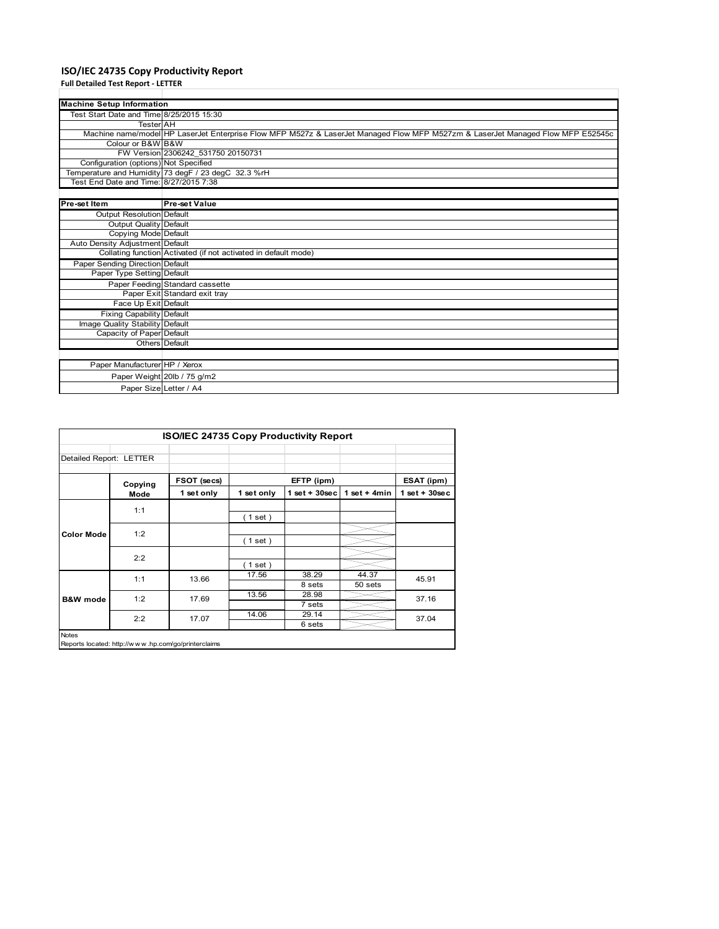## **ISO/IEC 24735 Copy Productivity Report**

**Full Detailed Test Report ‐ LETTER**

| <b>Machine Setup Information</b>         |                                                                                                                                 |
|------------------------------------------|---------------------------------------------------------------------------------------------------------------------------------|
| Test Start Date and Time 8/25/2015 15:30 |                                                                                                                                 |
| <b>Tester</b> AH                         |                                                                                                                                 |
|                                          | Machine name/model HP LaserJet Enterprise Flow MFP M527z & LaserJet Managed Flow MFP M527zm & LaserJet Managed Flow MFP E52545c |
| Colour or B&W B&W                        |                                                                                                                                 |
|                                          | FW Version 2306242 531750 20150731                                                                                              |
| Configuration (options) Not Specified    |                                                                                                                                 |
|                                          | Temperature and Humidity 73 degF / 23 degC 32.3 %rH                                                                             |
| Test End Date and Time: 8/27/2015 7:38   |                                                                                                                                 |
|                                          |                                                                                                                                 |
| Pre-set Item                             | <b>Pre-set Value</b>                                                                                                            |
| Output Resolution Default                |                                                                                                                                 |
| Output Quality Default                   |                                                                                                                                 |
| Copying Mode Default                     |                                                                                                                                 |
| Auto Density Adjustment Default          |                                                                                                                                 |
|                                          | Collating function Activated (if not activated in default mode)                                                                 |
| Paper Sending Direction Default          |                                                                                                                                 |
| Paper Type Setting Default               |                                                                                                                                 |
|                                          | Paper Feeding Standard cassette                                                                                                 |
|                                          | Paper Exit Standard exit tray                                                                                                   |
| Face Up Exit Default                     |                                                                                                                                 |
| <b>Fixing Capability Default</b>         |                                                                                                                                 |
| Image Quality Stability Default          |                                                                                                                                 |
| Capacity of Paper Default                |                                                                                                                                 |
|                                          | Others Default                                                                                                                  |
|                                          |                                                                                                                                 |
| Paper Manufacturer HP / Xerox            |                                                                                                                                 |
|                                          | Paper Weight 20lb / 75 g/m2                                                                                                     |
|                                          | Paper Size Letter / A4                                                                                                          |

| <b>ISO/IEC 24735 Copy Productivity Report</b> |                 |                                                     |            |                   |                  |                 |  |  |  |
|-----------------------------------------------|-----------------|-----------------------------------------------------|------------|-------------------|------------------|-----------------|--|--|--|
| Detailed Report: LETTER                       |                 |                                                     |            |                   |                  |                 |  |  |  |
|                                               | Copying<br>Mode | FSOT (secs)                                         | EFTP (ipm) |                   |                  | ESAT (ipm)      |  |  |  |
|                                               |                 | 1 set only                                          | 1 set only | $1$ set $+30$ sec | 1 set $+$ 4min   | $1$ set + 30sec |  |  |  |
| <b>Color Mode</b>                             | 1:1             |                                                     | (1 set)    |                   |                  |                 |  |  |  |
|                                               | 1:2             |                                                     | (1 set)    |                   |                  |                 |  |  |  |
|                                               | 2:2             |                                                     | $1$ set)   |                   |                  |                 |  |  |  |
| <b>B&amp;W</b> mode                           | 1:1             | 13.66                                               | 17.56      | 38.29<br>8 sets   | 44.37<br>50 sets | 45.91           |  |  |  |
|                                               | 1:2             | 17.69                                               | 13.56      | 28.98<br>7 sets   |                  | 37.16           |  |  |  |
|                                               | 2:2             | 17.07                                               | 14.06      | 29.14<br>6 sets   |                  | 37.04           |  |  |  |
| <b>Notes</b>                                  |                 | Reports located: http://www.hp.com/go/printerclaims |            |                   |                  |                 |  |  |  |